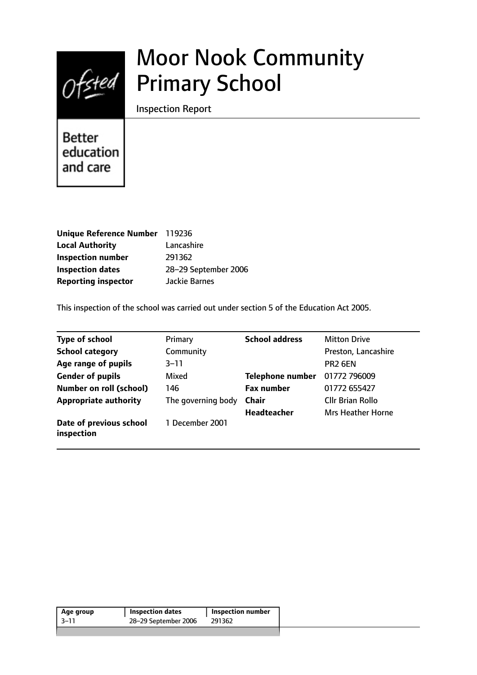

# Moor Nook Community Primary School

Inspection Report

**Better** education and care

| Unique Reference Number 119236 |                      |
|--------------------------------|----------------------|
| <b>Local Authority</b>         | Lancashire           |
| <b>Inspection number</b>       | 291362               |
| <b>Inspection dates</b>        | 28-29 September 2006 |
| <b>Reporting inspector</b>     | Jackie Barnes        |

This inspection of the school was carried out under section 5 of the Education Act 2005.

| <b>Type of school</b>                 | Primary            | <b>School address</b>   | <b>Mitton Drive</b>      |
|---------------------------------------|--------------------|-------------------------|--------------------------|
| <b>School category</b>                | Community          |                         | Preston, Lancashire      |
| Age range of pupils                   | $3 - 11$           |                         | PR <sub>2</sub> 6EN      |
| <b>Gender of pupils</b>               | Mixed              | <b>Telephone number</b> | 01772 796009             |
| <b>Number on roll (school)</b>        | 146                | <b>Fax number</b>       | 01772 655427             |
| <b>Appropriate authority</b>          | The governing body | <b>Chair</b>            | <b>Cllr Brian Rollo</b>  |
|                                       |                    | <b>Headteacher</b>      | <b>Mrs Heather Horne</b> |
| Date of previous school<br>inspection | 1 December 2001    |                         |                          |

| Age group | <b>Inspection dates</b> | <b>Inspection number</b> |
|-----------|-------------------------|--------------------------|
| -3–11     | 28-29 September 2006    | 291362                   |
|           |                         |                          |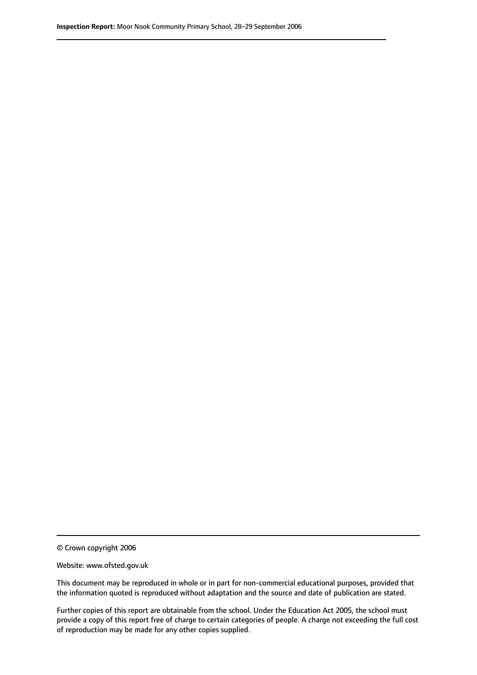© Crown copyright 2006

Website: www.ofsted.gov.uk

This document may be reproduced in whole or in part for non-commercial educational purposes, provided that the information quoted is reproduced without adaptation and the source and date of publication are stated.

Further copies of this report are obtainable from the school. Under the Education Act 2005, the school must provide a copy of this report free of charge to certain categories of people. A charge not exceeding the full cost of reproduction may be made for any other copies supplied.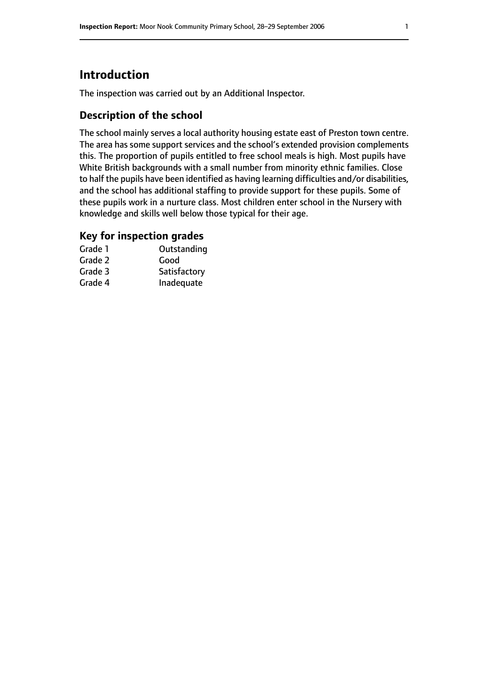# **Introduction**

The inspection was carried out by an Additional Inspector.

# **Description of the school**

The school mainly serves a local authority housing estate east of Preston town centre. The area has some support services and the school's extended provision complements this. The proportion of pupils entitled to free school meals is high. Most pupils have White British backgrounds with a small number from minority ethnic families. Close to half the pupils have been identified as having learning difficulties and/or disabilities, and the school has additional staffing to provide support for these pupils. Some of these pupils work in a nurture class. Most children enter school in the Nursery with knowledge and skills well below those typical for their age.

## **Key for inspection grades**

| Grade 1 | Outstanding  |
|---------|--------------|
| Grade 2 | Good         |
| Grade 3 | Satisfactory |
| Grade 4 | Inadequate   |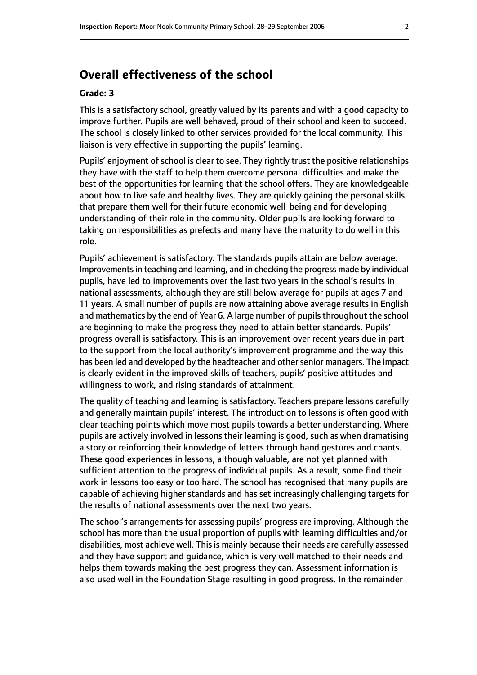# **Overall effectiveness of the school**

#### **Grade: 3**

This is a satisfactory school, greatly valued by its parents and with a good capacity to improve further. Pupils are well behaved, proud of their school and keen to succeed. The school is closely linked to other services provided for the local community. This liaison is very effective in supporting the pupils' learning.

Pupils' enjoyment of school is clear to see. They rightly trust the positive relationships they have with the staff to help them overcome personal difficulties and make the best of the opportunities for learning that the school offers. They are knowledgeable about how to live safe and healthy lives. They are quickly gaining the personal skills that prepare them well for their future economic well-being and for developing understanding of their role in the community. Older pupils are looking forward to taking on responsibilities as prefects and many have the maturity to do well in this role.

Pupils' achievement is satisfactory. The standards pupils attain are below average. Improvements in teaching and learning, and in checking the progress made by individual pupils, have led to improvements over the last two years in the school's results in national assessments, although they are still below average for pupils at ages 7 and 11 years. A small number of pupils are now attaining above average results in English and mathematics by the end of Year 6. A large number of pupils throughout the school are beginning to make the progress they need to attain better standards. Pupils' progress overall is satisfactory. This is an improvement over recent years due in part to the support from the local authority's improvement programme and the way this has been led and developed by the headteacher and other senior managers. The impact is clearly evident in the improved skills of teachers, pupils' positive attitudes and willingness to work, and rising standards of attainment.

The quality of teaching and learning is satisfactory. Teachers prepare lessons carefully and generally maintain pupils' interest. The introduction to lessons is often good with clear teaching points which move most pupils towards a better understanding. Where pupils are actively involved in lessons their learning is good, such as when dramatising a story or reinforcing their knowledge of letters through hand gestures and chants. These good experiences in lessons, although valuable, are not yet planned with sufficient attention to the progress of individual pupils. As a result, some find their work in lessons too easy or too hard. The school has recognised that many pupils are capable of achieving higher standards and has set increasingly challenging targets for the results of national assessments over the next two years.

The school's arrangements for assessing pupils' progress are improving. Although the school has more than the usual proportion of pupils with learning difficulties and/or disabilities, most achieve well. This is mainly because their needs are carefully assessed and they have support and guidance, which is very well matched to their needs and helps them towards making the best progress they can. Assessment information is also used well in the Foundation Stage resulting in good progress. In the remainder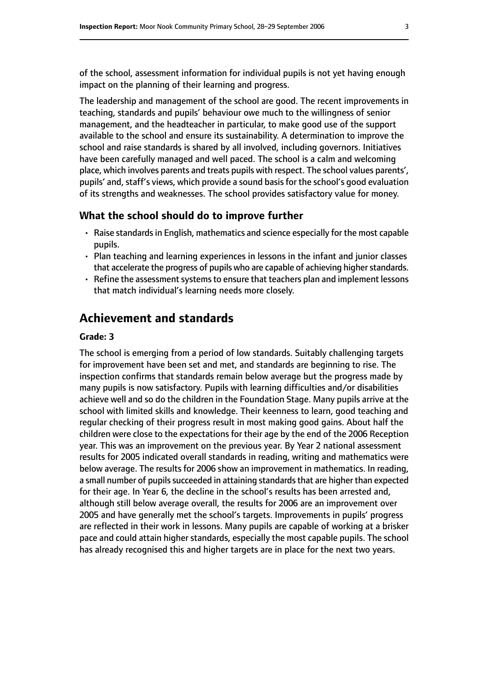of the school, assessment information for individual pupils is not yet having enough impact on the planning of their learning and progress.

The leadership and management of the school are good. The recent improvements in teaching, standards and pupils' behaviour owe much to the willingness of senior management, and the headteacher in particular, to make good use of the support available to the school and ensure its sustainability. A determination to improve the school and raise standards is shared by all involved, including governors. Initiatives have been carefully managed and well paced. The school is a calm and welcoming place, which involves parents and treats pupils with respect. The school values parents', pupils' and, staff's views, which provide a sound basis for the school's good evaluation of its strengths and weaknesses. The school provides satisfactory value for money.

#### **What the school should do to improve further**

- Raise standards in English, mathematics and science especially for the most capable pupils.
- Plan teaching and learning experiences in lessons in the infant and junior classes that accelerate the progress of pupils who are capable of achieving higher standards.
- Refine the assessment systems to ensure that teachers plan and implement lessons that match individual's learning needs more closely.

#### **Achievement and standards**

#### **Grade: 3**

The school is emerging from a period of low standards. Suitably challenging targets for improvement have been set and met, and standards are beginning to rise. The inspection confirms that standards remain below average but the progress made by many pupils is now satisfactory. Pupils with learning difficulties and/or disabilities achieve well and so do the children in the Foundation Stage. Many pupils arrive at the school with limited skills and knowledge. Their keenness to learn, good teaching and regular checking of their progress result in most making good gains. About half the children were close to the expectations for their age by the end of the 2006 Reception year. This was an improvement on the previous year. By Year 2 national assessment results for 2005 indicated overall standards in reading, writing and mathematics were below average. The results for 2006 show an improvement in mathematics. In reading, a small number of pupils succeeded in attaining standards that are higher than expected for their age. In Year 6, the decline in the school's results has been arrested and, although still below average overall, the results for 2006 are an improvement over 2005 and have generally met the school's targets. Improvements in pupils' progress are reflected in their work in lessons. Many pupils are capable of working at a brisker pace and could attain higher standards, especially the most capable pupils. The school has already recognised this and higher targets are in place for the next two years.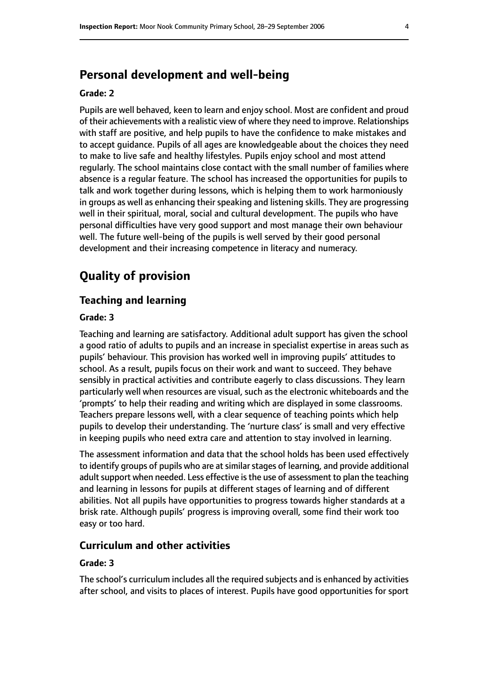# **Personal development and well-being**

#### **Grade: 2**

Pupils are well behaved, keen to learn and enjoy school. Most are confident and proud of their achievements with a realistic view of where they need to improve. Relationships with staff are positive, and help pupils to have the confidence to make mistakes and to accept guidance. Pupils of all ages are knowledgeable about the choices they need to make to live safe and healthy lifestyles. Pupils enjoy school and most attend regularly. The school maintains close contact with the small number of families where absence is a regular feature. The school has increased the opportunities for pupils to talk and work together during lessons, which is helping them to work harmoniously in groups as well as enhancing their speaking and listening skills. They are progressing well in their spiritual, moral, social and cultural development. The pupils who have personal difficulties have very good support and most manage their own behaviour well. The future well-being of the pupils is well served by their good personal development and their increasing competence in literacy and numeracy.

# **Quality of provision**

#### **Teaching and learning**

#### **Grade: 3**

Teaching and learning are satisfactory. Additional adult support has given the school a good ratio of adults to pupils and an increase in specialist expertise in areas such as pupils' behaviour. This provision has worked well in improving pupils' attitudes to school. As a result, pupils focus on their work and want to succeed. They behave sensibly in practical activities and contribute eagerly to class discussions. They learn particularly well when resources are visual, such as the electronic whiteboards and the 'prompts' to help their reading and writing which are displayed in some classrooms. Teachers prepare lessons well, with a clear sequence of teaching points which help pupils to develop their understanding. The 'nurture class' is small and very effective in keeping pupils who need extra care and attention to stay involved in learning.

The assessment information and data that the school holds has been used effectively to identify groups of pupils who are at similar stages of learning, and provide additional adult support when needed. Less effective is the use of assessment to plan the teaching and learning in lessons for pupils at different stages of learning and of different abilities. Not all pupils have opportunities to progress towards higher standards at a brisk rate. Although pupils' progress is improving overall, some find their work too easy or too hard.

#### **Curriculum and other activities**

#### **Grade: 3**

The school's curriculum includes all the required subjects and is enhanced by activities after school, and visits to places of interest. Pupils have good opportunities for sport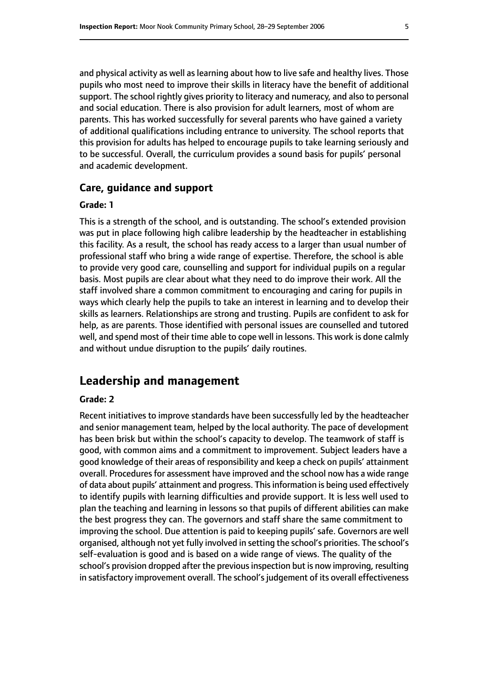and physical activity as well as learning about how to live safe and healthy lives. Those pupils who most need to improve their skills in literacy have the benefit of additional support. The school rightly gives priority to literacy and numeracy, and also to personal and social education. There is also provision for adult learners, most of whom are parents. This has worked successfully for several parents who have gained a variety of additional qualifications including entrance to university. The school reports that this provision for adults has helped to encourage pupils to take learning seriously and to be successful. Overall, the curriculum provides a sound basis for pupils' personal and academic development.

#### **Care, guidance and support**

#### **Grade: 1**

This is a strength of the school, and is outstanding. The school's extended provision was put in place following high calibre leadership by the headteacher in establishing this facility. As a result, the school has ready access to a larger than usual number of professional staff who bring a wide range of expertise. Therefore, the school is able to provide very good care, counselling and support for individual pupils on a regular basis. Most pupils are clear about what they need to do improve their work. All the staff involved share a common commitment to encouraging and caring for pupils in ways which clearly help the pupils to take an interest in learning and to develop their skills as learners. Relationships are strong and trusting. Pupils are confident to ask for help, as are parents. Those identified with personal issues are counselled and tutored well, and spend most of their time able to cope well in lessons. This work is done calmly and without undue disruption to the pupils' daily routines.

#### **Leadership and management**

#### **Grade: 2**

Recent initiatives to improve standards have been successfully led by the headteacher and senior management team, helped by the local authority. The pace of development has been brisk but within the school's capacity to develop. The teamwork of staff is good, with common aims and a commitment to improvement. Subject leaders have a good knowledge of their areas of responsibility and keep a check on pupils' attainment overall. Procedures for assessment have improved and the school now has a wide range of data about pupils' attainment and progress. This information is being used effectively to identify pupils with learning difficulties and provide support. It is less well used to plan the teaching and learning in lessons so that pupils of different abilities can make the best progress they can. The governors and staff share the same commitment to improving the school. Due attention is paid to keeping pupils' safe. Governors are well organised, although not yet fully involved in setting the school's priorities. The school's self-evaluation is good and is based on a wide range of views. The quality of the school's provision dropped after the previous inspection but is now improving, resulting in satisfactory improvement overall. The school's judgement of its overall effectiveness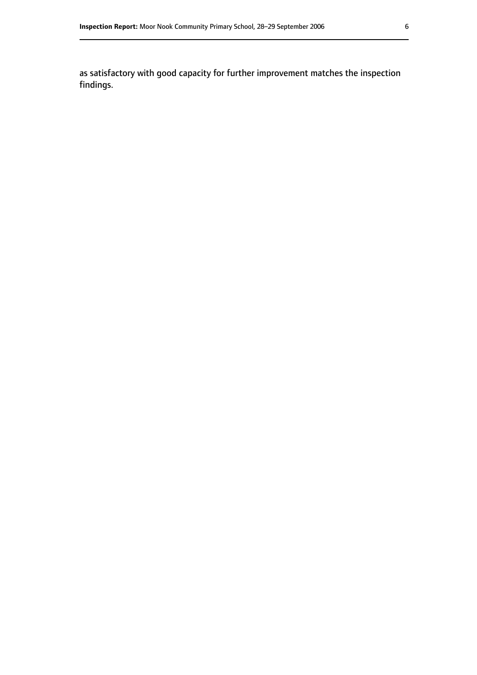as satisfactory with good capacity for further improvement matches the inspection findings.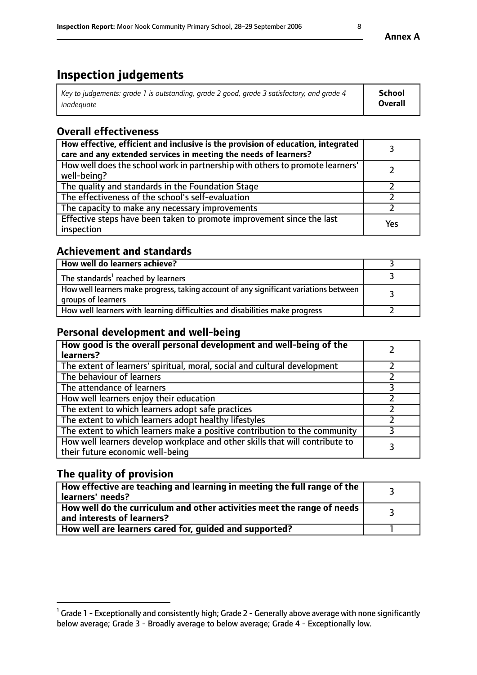# **Inspection judgements**

| Key to judgements: grade 1 is outstanding, grade 2 good, grade 3 satisfactory, and grade 4 | School         |
|--------------------------------------------------------------------------------------------|----------------|
| inadeauate                                                                                 | <b>Overall</b> |

# **Overall effectiveness**

| How effective, efficient and inclusive is the provision of education, integrated<br>care and any extended services in meeting the needs of learners? |     |
|------------------------------------------------------------------------------------------------------------------------------------------------------|-----|
| How well does the school work in partnership with others to promote learners'<br>well-being?                                                         |     |
| The quality and standards in the Foundation Stage                                                                                                    |     |
| The effectiveness of the school's self-evaluation                                                                                                    |     |
| The capacity to make any necessary improvements                                                                                                      |     |
| Effective steps have been taken to promote improvement since the last<br>inspection                                                                  | Yes |

## **Achievement and standards**

| How well do learners achieve?                                                                               |  |
|-------------------------------------------------------------------------------------------------------------|--|
| The standards <sup>1</sup> reached by learners                                                              |  |
| How well learners make progress, taking account of any significant variations between<br>groups of learners |  |
| How well learners with learning difficulties and disabilities make progress                                 |  |

## **Personal development and well-being**

| How good is the overall personal development and well-being of the<br>learners?                                  |  |
|------------------------------------------------------------------------------------------------------------------|--|
| The extent of learners' spiritual, moral, social and cultural development                                        |  |
| The behaviour of learners                                                                                        |  |
| The attendance of learners                                                                                       |  |
| How well learners enjoy their education                                                                          |  |
| The extent to which learners adopt safe practices                                                                |  |
| The extent to which learners adopt healthy lifestyles                                                            |  |
| The extent to which learners make a positive contribution to the community                                       |  |
| How well learners develop workplace and other skills that will contribute to<br>their future economic well-being |  |

# **The quality of provision**

| $\Box$ How effective are teaching and learning in meeting the full range of the $\Box$<br>  learners' needs?        |  |
|---------------------------------------------------------------------------------------------------------------------|--|
| $\mid$ How well do the curriculum and other activities meet the range of needs<br>$\mid$ and interests of learners? |  |
| How well are learners cared for, guided and supported?                                                              |  |

**Annex A**

 $^1$  Grade 1 - Exceptionally and consistently high; Grade 2 - Generally above average with none significantly below average; Grade 3 - Broadly average to below average; Grade 4 - Exceptionally low.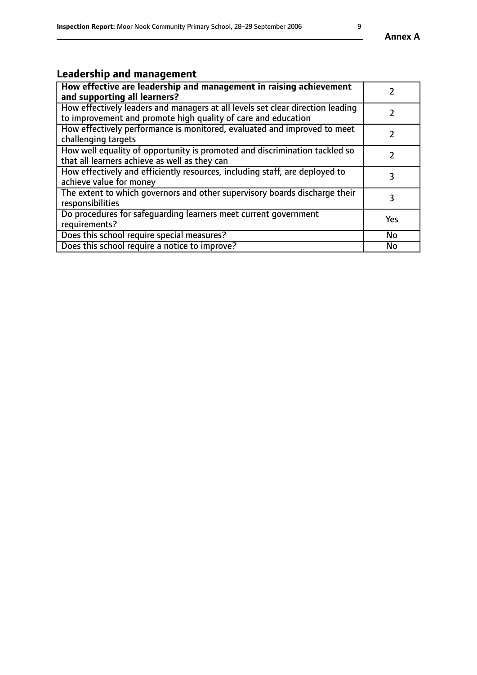# **Leadership and management**

| How effective are leadership and management in raising achievement<br>and supporting all learners?                                              |           |
|-------------------------------------------------------------------------------------------------------------------------------------------------|-----------|
| How effectively leaders and managers at all levels set clear direction leading<br>to improvement and promote high quality of care and education |           |
| How effectively performance is monitored, evaluated and improved to meet<br>challenging targets                                                 |           |
| How well equality of opportunity is promoted and discrimination tackled so<br>that all learners achieve as well as they can                     |           |
| How effectively and efficiently resources, including staff, are deployed to<br>achieve value for money                                          | 3         |
| The extent to which governors and other supervisory boards discharge their<br>responsibilities                                                  | 3         |
| Do procedures for safequarding learners meet current government<br>requirements?                                                                | Yes       |
| Does this school require special measures?                                                                                                      | No        |
| Does this school require a notice to improve?                                                                                                   | <b>No</b> |